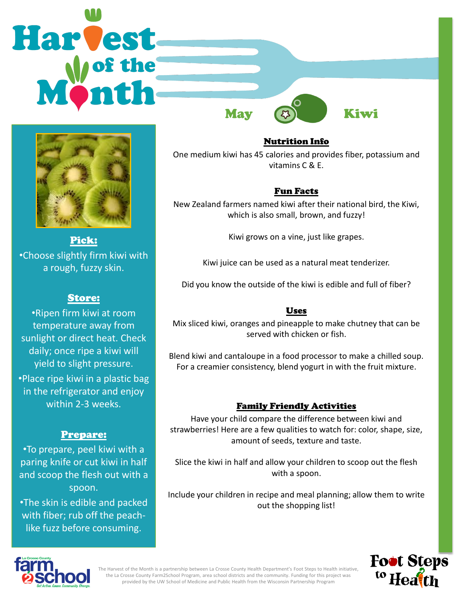



Pick: •Choose slightly firm kiwi with a rough, fuzzy skin.

# Store:

•Ripen firm kiwi at room temperature away from sunlight or direct heat. Check daily; once ripe a kiwi will yield to slight pressure.

•Place ripe kiwi in a plastic bag in the refrigerator and enjoy within 2-3 weeks.

# Prepare:

•To prepare, peel kiwi with a paring knife or cut kiwi in half and scoop the flesh out with a spoon.

•The skin is edible and packed with fiber; rub off the peachlike fuzz before consuming.

Nutrition Info One medium kiwi has 45 calories and provides fiber, potassium and vitamins C & E.

# Fun Facts

New Zealand farmers named kiwi after their national bird, the Kiwi, which is also small, brown, and fuzzy!

Kiwi grows on a vine, just like grapes.

Kiwi juice can be used as a natural meat tenderizer.

Did you know the outside of the kiwi is edible and full of fiber?

# Uses

Mix sliced kiwi, oranges and pineapple to make chutney that can be served with chicken or fish.

Blend kiwi and cantaloupe in a food processor to make a chilled soup. For a creamier consistency, blend yogurt in with the fruit mixture.

# Family Friendly Activities

Have your child compare the difference between kiwi and strawberries! Here are a few qualities to watch for: color, shape, size, amount of seeds, texture and taste.

Slice the kiwi in half and allow your children to scoop out the flesh with a spoon.

Include your children in recipe and meal planning; allow them to write out the shopping list!